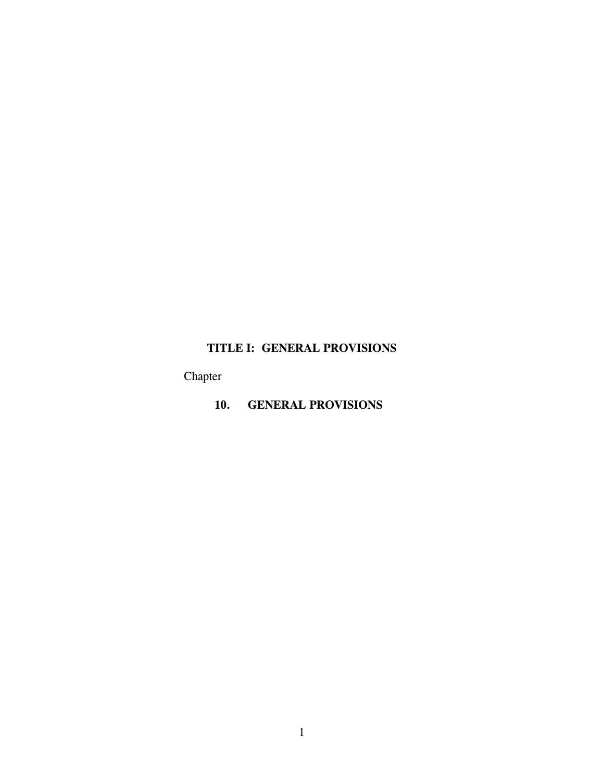# **TITLE I: GENERAL PROVISIONS**

Chapter

**10. GENERAL PROVISIONS**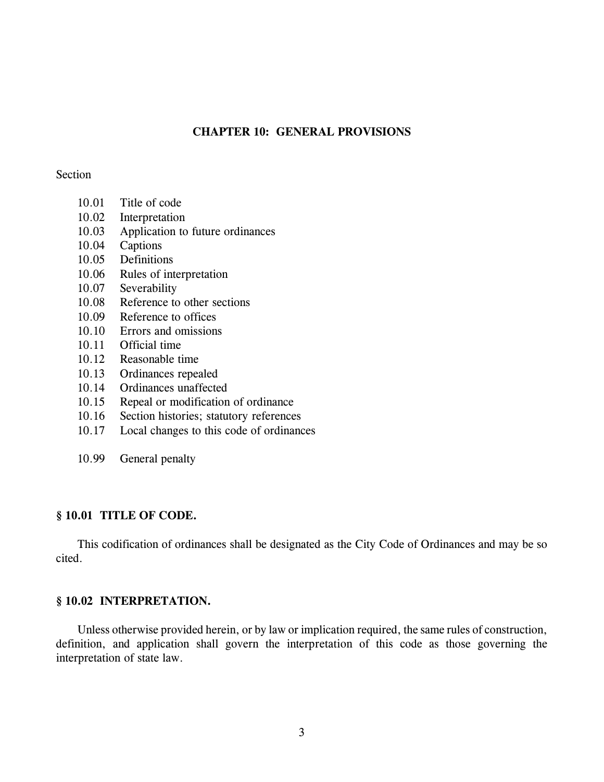### **CHAPTER 10: GENERAL PROVISIONS**

### Section

- 10.01 Title of code
- 10.02 Interpretation
- 10.03 Application to future ordinances
- 10.04 Captions
- 10.05 Definitions
- 10.06 Rules of interpretation
- 10.07 Severability
- 10.08 Reference to other sections
- 10.09 Reference to offices
- 10.10 Errors and omissions
- 10.11 Official time
- 10.12 Reasonable time
- 10.13 Ordinances repealed
- 10.14 Ordinances unaffected
- 10.15 Repeal or modification of ordinance
- 10.16 Section histories; statutory references
- 10.17 Local changes to this code of ordinances
- 10.99 General penalty

### **§ 10.01 TITLE OF CODE.**

This codification of ordinances shall be designated as the City Code of Ordinances and may be so cited.

### **§ 10.02 INTERPRETATION.**

Unless otherwise provided herein, or by law or implication required, the same rules of construction, definition, and application shall govern the interpretation of this code as those governing the interpretation of state law.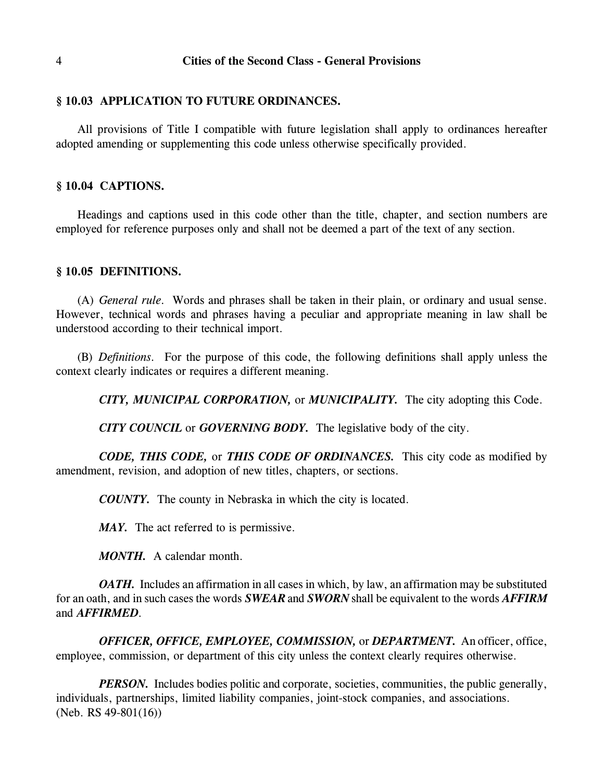### **§ 10.03 APPLICATION TO FUTURE ORDINANCES.**

All provisions of Title I compatible with future legislation shall apply to ordinances hereafter adopted amending or supplementing this code unless otherwise specifically provided.

### **§ 10.04 CAPTIONS.**

Headings and captions used in this code other than the title, chapter, and section numbers are employed for reference purposes only and shall not be deemed a part of the text of any section.

### **§ 10.05 DEFINITIONS.**

(A) *General rule.* Words and phrases shall be taken in their plain, or ordinary and usual sense. However, technical words and phrases having a peculiar and appropriate meaning in law shall be understood according to their technical import.

(B) *Definitions.* For the purpose of this code, the following definitions shall apply unless the context clearly indicates or requires a different meaning.

*CITY, MUNICIPAL CORPORATION,* or *MUNICIPALITY.* The city adopting this Code.

*CITY COUNCIL* or *GOVERNING BODY.* The legislative body of the city.

*CODE, THIS CODE,* or *THIS CODE OF ORDINANCES.* This city code as modified by amendment, revision, and adoption of new titles, chapters, or sections.

*COUNTY.* The county in Nebraska in which the city is located.

*MAY.* The act referred to is permissive.

*MONTH.* A calendar month.

*OATH.* Includes an affirmation in all cases in which, by law, an affirmation may be substituted for an oath, and in such cases the words *SWEAR* and *SWORN* shall be equivalent to the words *AFFIRM* and *AFFIRMED*.

*OFFICER, OFFICE, EMPLOYEE, COMMISSION,* or *DEPARTMENT.* An officer, office, employee, commission, or department of this city unless the context clearly requires otherwise.

*PERSON*. Includes bodies politic and corporate, societies, communities, the public generally, individuals, partnerships, limited liability companies, joint-stock companies, and associations. (Neb. RS 49-801(16))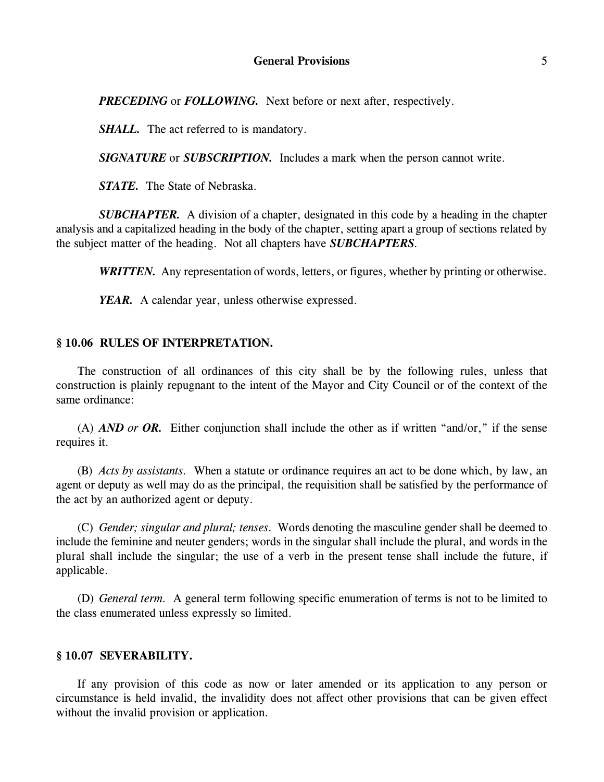### **General Provisions** 5

*PRECEDING* or *FOLLOWING.* Next before or next after, respectively.

*SHALL.* The act referred to is mandatory.

*SIGNATURE* or *SUBSCRIPTION.* Includes a mark when the person cannot write.

*STATE.* The State of Nebraska.

*SUBCHAPTER.* A division of a chapter, designated in this code by a heading in the chapter analysis and a capitalized heading in the body of the chapter, setting apart a group of sections related by the subject matter of the heading. Not all chapters have *SUBCHAPTERS*.

*WRITTEN.* Any representation of words, letters, or figures, whether by printing or otherwise.

*YEAR.* A calendar year, unless otherwise expressed.

### **§ 10.06 RULES OF INTERPRETATION.**

The construction of all ordinances of this city shall be by the following rules, unless that construction is plainly repugnant to the intent of the Mayor and City Council or of the context of the same ordinance:

(A) *AND or OR.* Either conjunction shall include the other as if written "and/or," if the sense requires it.

(B) *Acts by assistants.* When a statute or ordinance requires an act to be done which, by law, an agent or deputy as well may do as the principal, the requisition shall be satisfied by the performance of the act by an authorized agent or deputy.

(C) *Gender; singular and plural; tenses.* Words denoting the masculine gender shall be deemed to include the feminine and neuter genders; words in the singular shall include the plural, and words in the plural shall include the singular; the use of a verb in the present tense shall include the future, if applicable.

(D) *General term.* A general term following specific enumeration of terms is not to be limited to the class enumerated unless expressly so limited.

#### **§ 10.07 SEVERABILITY.**

If any provision of this code as now or later amended or its application to any person or circumstance is held invalid, the invalidity does not affect other provisions that can be given effect without the invalid provision or application.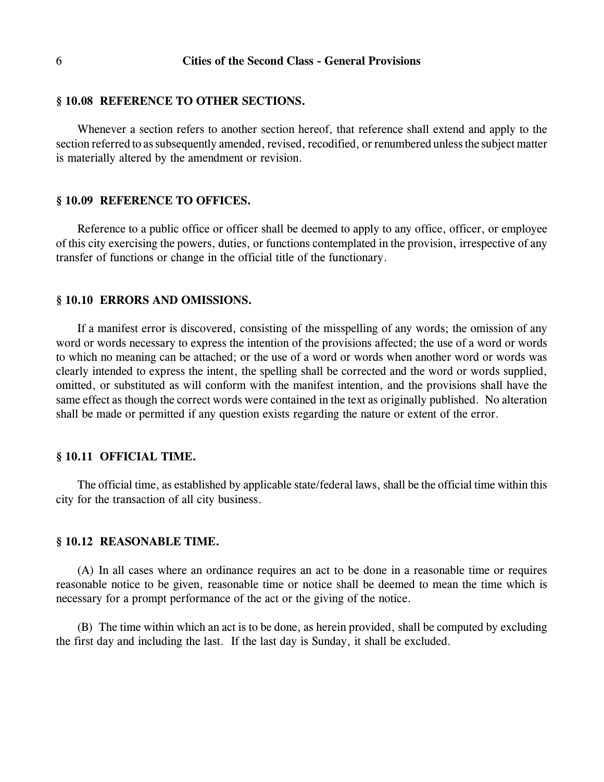#### **§ 10.08 REFERENCE TO OTHER SECTIONS.**

Whenever a section refers to another section hereof, that reference shall extend and apply to the section referred to as subsequently amended, revised, recodified, or renumbered unless the subject matter is materially altered by the amendment or revision.

#### **§ 10.09 REFERENCE TO OFFICES.**

Reference to a public office or officer shall be deemed to apply to any office, officer, or employee of this city exercising the powers, duties, or functions contemplated in the provision, irrespective of any transfer of functions or change in the official title of the functionary.

#### **§ 10.10 ERRORS AND OMISSIONS.**

If a manifest error is discovered, consisting of the misspelling of any words; the omission of any word or words necessary to express the intention of the provisions affected; the use of a word or words to which no meaning can be attached; or the use of a word or words when another word or words was clearly intended to express the intent, the spelling shall be corrected and the word or words supplied, omitted, or substituted as will conform with the manifest intention, and the provisions shall have the same effect as though the correct words were contained in the text as originally published. No alteration shall be made or permitted if any question exists regarding the nature or extent of the error.

### **§ 10.11 OFFICIAL TIME.**

The official time, as established by applicable state/federal laws, shall be the official time within this city for the transaction of all city business.

#### **§ 10.12 REASONABLE TIME.**

(A) In all cases where an ordinance requires an act to be done in a reasonable time or requires reasonable notice to be given, reasonable time or notice shall be deemed to mean the time which is necessary for a prompt performance of the act or the giving of the notice.

(B) The time within which an act is to be done, as herein provided, shall be computed by excluding the first day and including the last. If the last day is Sunday, it shall be excluded.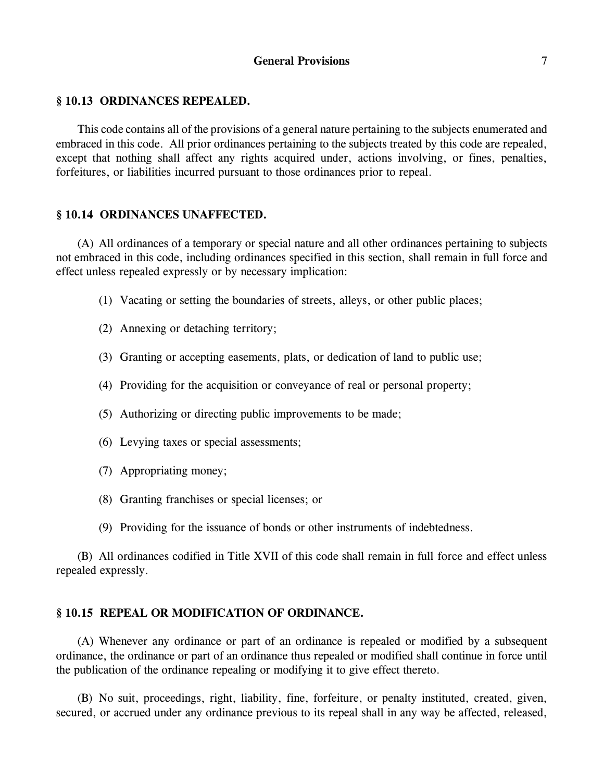### **General Provisions** 7

#### **§ 10.13 ORDINANCES REPEALED.**

This code contains all of the provisions of a general nature pertaining to the subjects enumerated and embraced in this code. All prior ordinances pertaining to the subjects treated by this code are repealed, except that nothing shall affect any rights acquired under, actions involving, or fines, penalties, forfeitures, or liabilities incurred pursuant to those ordinances prior to repeal.

#### **§ 10.14 ORDINANCES UNAFFECTED.**

(A) All ordinances of a temporary or special nature and all other ordinances pertaining to subjects not embraced in this code, including ordinances specified in this section, shall remain in full force and effect unless repealed expressly or by necessary implication:

- (1) Vacating or setting the boundaries of streets, alleys, or other public places;
- (2) Annexing or detaching territory;
- (3) Granting or accepting easements, plats, or dedication of land to public use;
- (4) Providing for the acquisition or conveyance of real or personal property;
- (5) Authorizing or directing public improvements to be made;
- (6) Levying taxes or special assessments;
- (7) Appropriating money;
- (8) Granting franchises or special licenses; or
- (9) Providing for the issuance of bonds or other instruments of indebtedness.

(B) All ordinances codified in Title XVII of this code shall remain in full force and effect unless repealed expressly.

#### **§ 10.15 REPEAL OR MODIFICATION OF ORDINANCE.**

(A) Whenever any ordinance or part of an ordinance is repealed or modified by a subsequent ordinance, the ordinance or part of an ordinance thus repealed or modified shall continue in force until the publication of the ordinance repealing or modifying it to give effect thereto.

(B) No suit, proceedings, right, liability, fine, forfeiture, or penalty instituted, created, given, secured, or accrued under any ordinance previous to its repeal shall in any way be affected, released,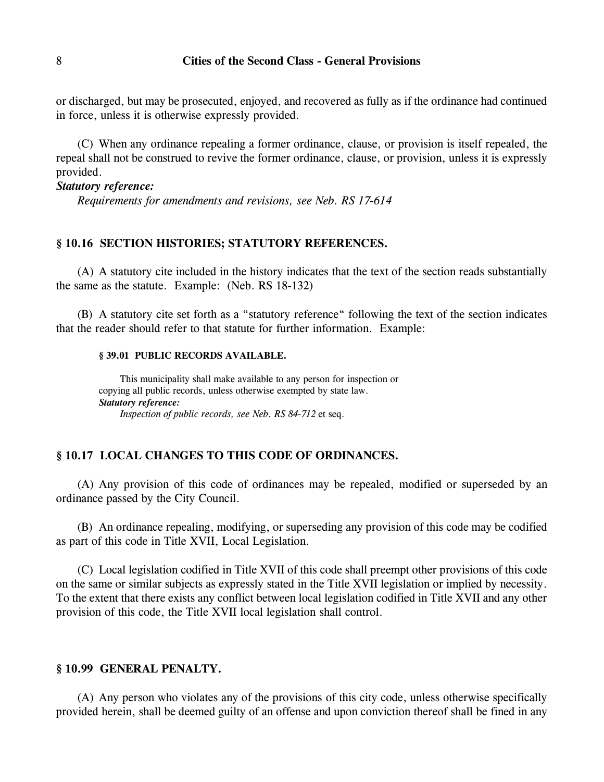or discharged, but may be prosecuted, enjoyed, and recovered as fully as if the ordinance had continued in force, unless it is otherwise expressly provided.

(C) When any ordinance repealing a former ordinance, clause, or provision is itself repealed, the repeal shall not be construed to revive the former ordinance, clause, or provision, unless it is expressly provided.

#### *Statutory reference:*

*Requirements for amendments and revisions, see Neb. RS 17-614*

### **§ 10.16 SECTION HISTORIES; STATUTORY REFERENCES.**

(A) A statutory cite included in the history indicates that the text of the section reads substantially the same as the statute. Example: (Neb. RS 18-132)

(B) A statutory cite set forth as a "statutory reference" following the text of the section indicates that the reader should refer to that statute for further information. Example:

#### **§ 39.01 PUBLIC RECORDS AVAILABLE.**

This municipality shall make available to any person for inspection or copying all public records, unless otherwise exempted by state law. *Statutory reference: Inspection of public records, see Neb. RS 84-712* et seq.

### **§ 10.17 LOCAL CHANGES TO THIS CODE OF ORDINANCES.**

(A) Any provision of this code of ordinances may be repealed, modified or superseded by an ordinance passed by the City Council.

(B) An ordinance repealing, modifying, or superseding any provision of this code may be codified as part of this code in Title XVII, Local Legislation.

(C) Local legislation codified in Title XVII of this code shall preempt other provisions of this code on the same or similar subjects as expressly stated in the Title XVII legislation or implied by necessity. To the extent that there exists any conflict between local legislation codified in Title XVII and any other provision of this code, the Title XVII local legislation shall control.

## **§ 10.99 GENERAL PENALTY.**

(A) Any person who violates any of the provisions of this city code, unless otherwise specifically provided herein, shall be deemed guilty of an offense and upon conviction thereof shall be fined in any